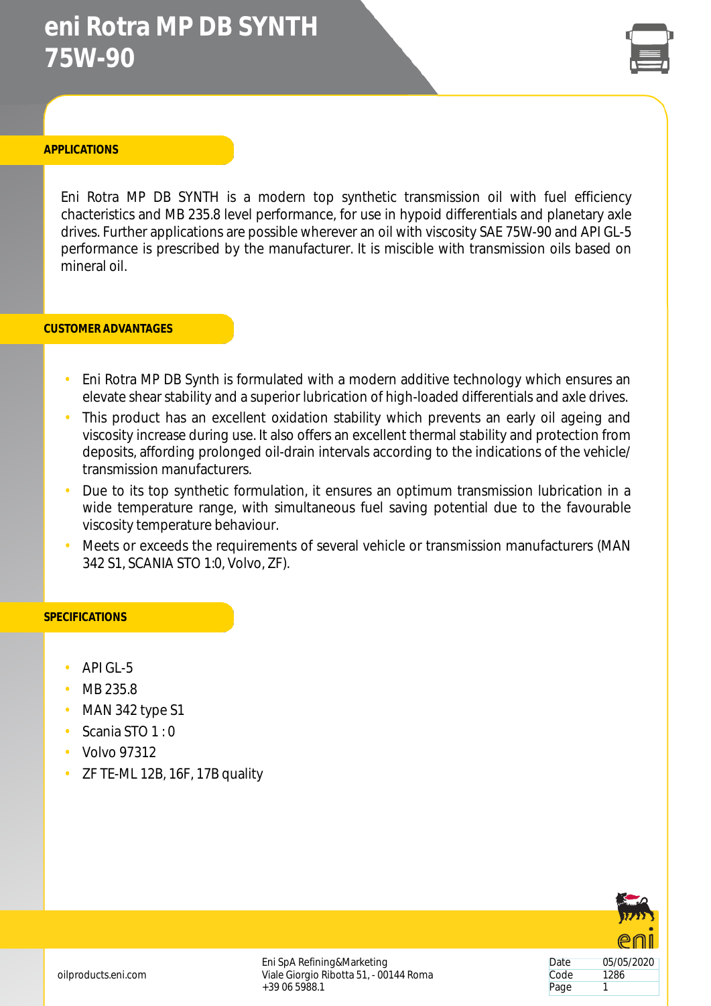# **eni Rotra MP DB SYNTH 75W-90**



### **APPLICATIONS**

Eni Rotra MP DB SYNTH is a modern top synthetic transmission oil with fuel efficiency chacteristics and MB 235.8 level performance, for use in hypoid differentials and planetary axle drives. Further applications are possible wherever an oil with viscosity SAE 75W-90 and API GL-5 performance is prescribed by the manufacturer. It is miscible with transmission oils based on mineral oil.

#### **CUSTOMER ADVANTAGES**

- Eni Rotra MP DB Synth is formulated with a modern additive technology which ensures an elevate shear stability and a superior lubrication of high-loaded differentials and axle drives.
- This product has an excellent oxidation stability which prevents an early oil ageing and viscosity increase during use. It also offers an excellent thermal stability and protection from deposits, affording prolonged oil-drain intervals according to the indications of the vehicle/ transmission manufacturers.
- Due to its top synthetic formulation, it ensures an optimum transmission lubrication in a wide temperature range, with simultaneous fuel saving potential due to the favourable viscosity temperature behaviour.
- Meets or exceeds the requirements of several vehicle or transmission manufacturers (MAN 342 S1, SCANIA STO 1:0, Volvo, ZF).

#### **SPECIFICATIONS**

- $API GI 5$
- MB 235.8
- MAN 342 type S1
- Scania STO 1 : 0
- Volvo 97312
- ZF TE-ML 12B, 16F, 17B quality



Eni SpA Refining&Marketing Viale Giorgio Ribotta 51, - 00144 Roma +39 06 5988.1

Date 05/05/2020 Code 1286 Page 1